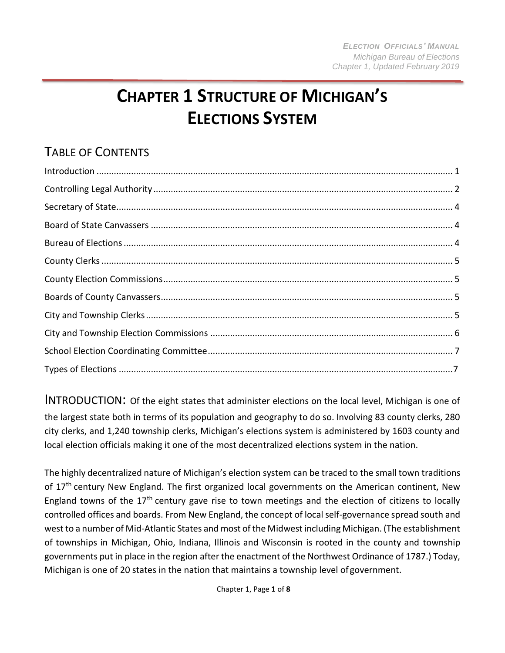# **CHAPTER 1 STRUCTURE OF MICHIGAN'S ELECTIONS SYSTEM**

## TABLE OF CONTENTS

<span id="page-0-0"></span>INTRODUCTION: Of the eight states that administer elections on the local level, Michigan is one of the largest state both in terms of its population and geography to do so. Involving 83 county clerks, 280 city clerks, and 1,240 township clerks, Michigan's elections system is administered by 1603 county and local election officials making it one of the most decentralized elections system in the nation.

The highly decentralized nature of Michigan's election system can be traced to the small town traditions of 17<sup>th</sup> century New England. The first organized local governments on the American continent, New England towns of the 17<sup>th</sup> century gave rise to town meetings and the election of citizens to locally controlled offices and boards. From New England, the concept of local self-governance spread south and west to a number of Mid-Atlantic States and most of the Midwest including Michigan. (The establishment of townships in Michigan, Ohio, Indiana, Illinois and Wisconsin is rooted in the county and township governments put in place in the region after the enactment of the Northwest Ordinance of 1787.) Today, Michigan is one of 20 states in the nation that maintains a township level of government.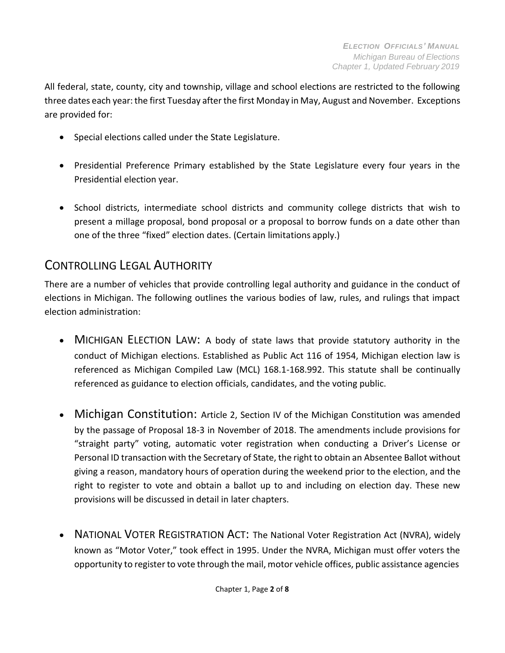All federal, state, county, city and township, village and school elections are restricted to the following three dates each year: the first Tuesday after the first Monday in May, August and November. Exceptions are provided for:

- Special elections called under the State Legislature.
- Presidential Preference Primary established by the State Legislature every four years in the Presidential election year.
- School districts, intermediate school districts and community college districts that wish to present a millage proposal, bond proposal or a proposal to borrow funds on a date other than one of the three "fixed" election dates. (Certain limitations apply.)

### CONTROLLING LEGAL AUTHORITY

There are a number of vehicles that provide controlling legal authority and guidance in the conduct of elections in Michigan. The following outlines the various bodies of law, rules, and rulings that impact election administration:

- M[ICHIGAN](http://legislature.mi.gov/doc.aspx?mcl-Act-116-of-1954) ELECTION LAW: A body of state laws that provide statutory authority in the conduct of Michigan elections. Established as Public Act 116 of 1954, Michigan election law is referenced as Michigan Compiled Law (MCL) 168.1-168.992. This statute shall be continually referenced as guidance to election officials, candidates, and the voting public.
- Michigan Constitution: Article 2, Section IV of the Michigan Constitution was amended by the passage of Proposal 18-3 in November of 2018. The amendments include provisions for "straight party" voting, automatic voter registration when conducting a Driver's License or Personal ID transaction with the Secretary of State, the right to obtain an Absentee Ballot without giving a reason, mandatory hours of operation during the weekend prior to the election, and the right to register to vote and obtain a ballot up to and including on election day. These new provisions will be discussed in detail in later chapters.
- NATIONAL VOTER R[EGISTRATION](https://www.justice.gov/crt/title-42-public-health-and-welfare-chapter-20-elective-franchise-subchapter-i-h-national-voter#anchor_1973gg) ACT: The National Voter Registration Act (NVRA), widely known as "Motor Voter," took effect in 1995. Under the NVRA, Michigan must offer voters the opportunity to register to vote through the mail, motor vehicle offices, public assistance agencies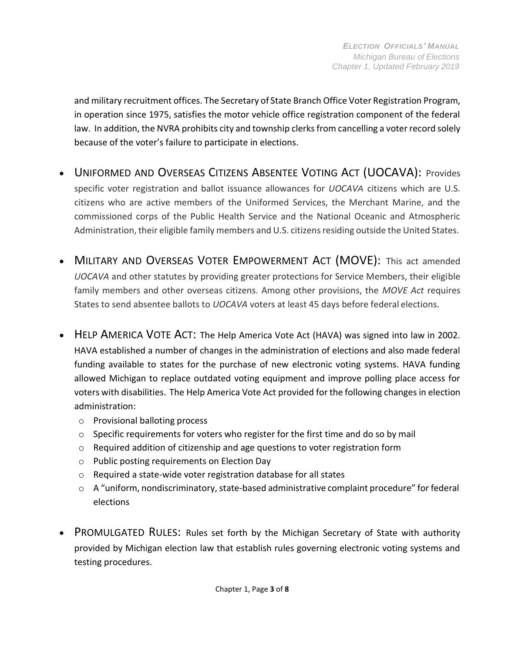and military recruitment offices. The Secretary of State Branch Office Voter Registration Program, in operation since 1975, satisfies the motor vehicle office registration component of the federal law. In addition, the NVRA prohibits city and township clerks from cancelling a voter record solely because of the voter's failure to participate in elections.

- U[NIFORMED AND](https://www.justice.gov/crt/title-42-public-health-and-welfare-chapter-20-elective-franchise-subchapter-i-h-national-voter) OVERSEAS CITIZENS ABSENTEE VOTING ACT (UOCAVA): Provides specific voter registration and ballot issuance allowances for *UOCAVA* citizens which are U.S. citizens who are active members of the Uniformed Services, the Merchant Marine, and the commissioned corps of the Public Health Service and the National Oceanic and Atmospheric Administration, their eligible family members and U.S. citizens residing outside the United States.
- MILITARY AND OVERSEAS VOTER E[MPOWERMENT](https://www.justice.gov/sites/default/files/crt/legacy/2011/01/06/MOVE_Act.pdf) ACT (MOVE): This act amended *UOCAVA* and other statutes by providing greater protections for Service Members, their eligible family members and other overseas citizens. Among other provisions, the *MOVE Act* requires States to send absentee ballots to *UOCAVA* voters at least 45 days before federal elections.
- HELP A[MERICA](https://www.justice.gov/crt/chapter-146-election-administration-improvement) VOTE ACT: The Help America Vote Act (HAVA) was signed into law in 2002. HAVA established a number of changes in the administration of elections and also made federal funding available to states for the purchase of new electronic voting systems. HAVA funding allowed Michigan to replace outdated voting equipment and improve polling place access for voters with disabilities. The Help America Vote Act provided for the following changes in election administration:
	- o Provisional balloting process
	- o Specific requirements for voters who register for the first time and do so by mail
	- $\circ$  Required addition of citizenship and age questions to voter registration form
	- o Public posting requirements on Election Day
	- o Required a state-wide voter registration database for all states
	- $\circ$  A "uniform, nondiscriminatory, state-based administrative complaint procedure" for federal elections
- PROMULGATED RULES: Rules set forth by the Michigan Secretary of State with authority provided by Michigan election law that establish rules governing electronic voting systems and testing procedures.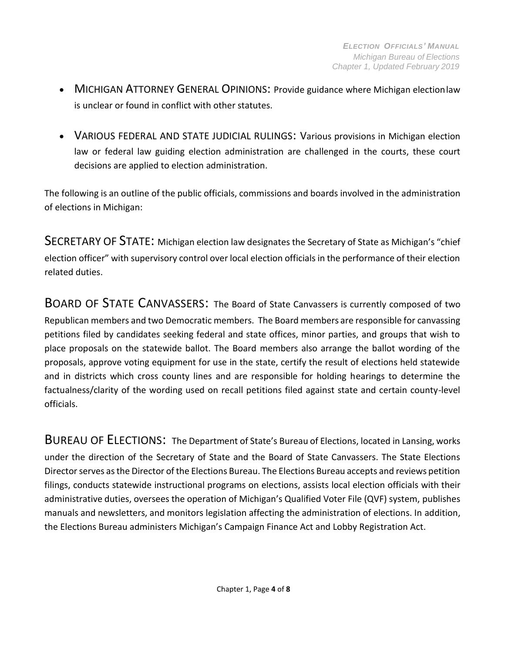- MICHIGAN ATTORNEY GENERAL OPINIONS: Provide guidance where Michigan election law is unclear or found in conflict with other statutes.
- VARIOUS FEDERAL AND STATE JUDICIAL RULINGS: Various provisions in Michigan election law or federal law guiding election administration are challenged in the courts, these court decisions are applied to election administration.

The following is an outline of the public officials, commissions and boards involved in the administration of elections in Michigan:

<span id="page-3-0"></span>SECRETARY OF STATE: Michigan election law designates the Secretary of State as Michigan's "chief election officer" with supervisory control over local election officials in the performance of their election related duties.

<span id="page-3-1"></span>BOARD OF STATE CANVASSERS: The Board of State Canvassers is currently composed of two Republican members and two Democratic members. The Board members are responsible for canvassing petitions filed by candidates seeking federal and state offices, minor parties, and groups that wish to place proposals on the statewide ballot. The Board members also arrange the ballot wording of the proposals, approve voting equipment for use in the state, certify the result of elections held statewide and in districts which cross county lines and are responsible for holding hearings to determine the factualness/clarity of the wording used on recall petitions filed against state and certain county-level officials.

<span id="page-3-2"></span>BUREAU OF ELECTIONS: The Department of State's Bureau of Elections, located in Lansing, works under the direction of the Secretary of State and the Board of State Canvassers. The State Elections Director serves as the Director of the Elections Bureau. The Elections Bureau accepts and reviews petition filings, conducts statewide instructional programs on elections, assists local election officials with their administrative duties, oversees the operation of Michigan's Qualified Voter File (QVF) system, publishes manuals and newsletters, and monitors legislation affecting the administration of elections. In addition, the Elections Bureau administers Michigan's Campaign Finance Act and Lobby Registration Act.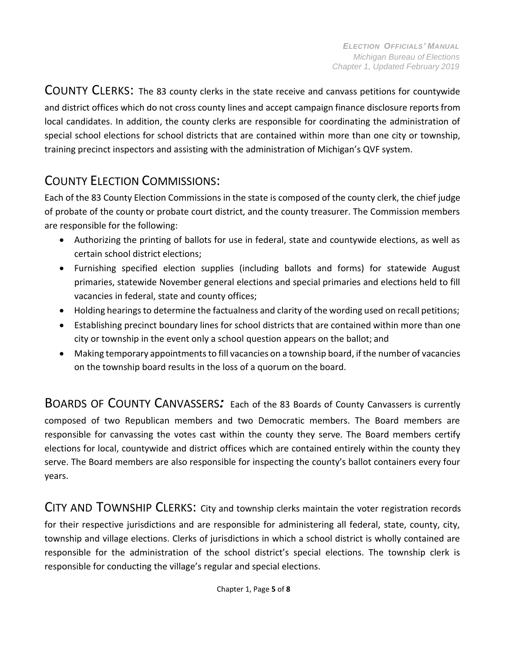<span id="page-4-0"></span>COUNTY CLERKS: The 83 county clerks in the state receive and canvass petitions for countywide and district offices which do not cross county lines and accept campaign finance disclosure reports from local candidates. In addition, the county clerks are responsible for coordinating the administration of special school elections for school districts that are contained within more than one city or township, training precinct inspectors and assisting with the administration of Michigan's QVF system.

### <span id="page-4-1"></span>COUNTY ELECTION COMMISSIONS:

Each of the 83 County Election Commissions in the state is composed of the county clerk, the chief judge of probate of the county or probate court district, and the county treasurer. The Commission members are responsible for the following:

- Authorizing the printing of ballots for use in federal, state and countywide elections, as well as certain school district elections;
- Furnishing specified election supplies (including ballots and forms) for statewide August primaries, statewide November general elections and special primaries and elections held to fill vacancies in federal, state and county offices;
- Holding hearings to determine the factualness and clarity of the wording used on recall petitions;
- Establishing precinct boundary lines for school districts that are contained within more than one city or township in the event only a school question appears on the ballot; and
- Making temporary appointments to fill vacancies on a township board, if the number of vacancies on the township board results in the loss of a quorum on the board.

<span id="page-4-2"></span>BOARDS OF COUNTY CANVASSERS*:* Each of the <sup>83</sup> Boards of County Canvassers is currently composed of two Republican members and two Democratic members. The Board members are responsible for canvassing the votes cast within the county they serve. The Board members certify elections for local, countywide and district offices which are contained entirely within the county they serve. The Board members are also responsible for inspecting the county's ballot containers every four years.

<span id="page-4-3"></span>CITY AND TOWNSHIP CLERKS: City and township clerks maintain the voter registration records for their respective jurisdictions and are responsible for administering all federal, state, county, city, township and village elections. Clerks of jurisdictions in which a school district is wholly contained are responsible for the administration of the school district's special elections. The township clerk is responsible for conducting the village's regular and special elections.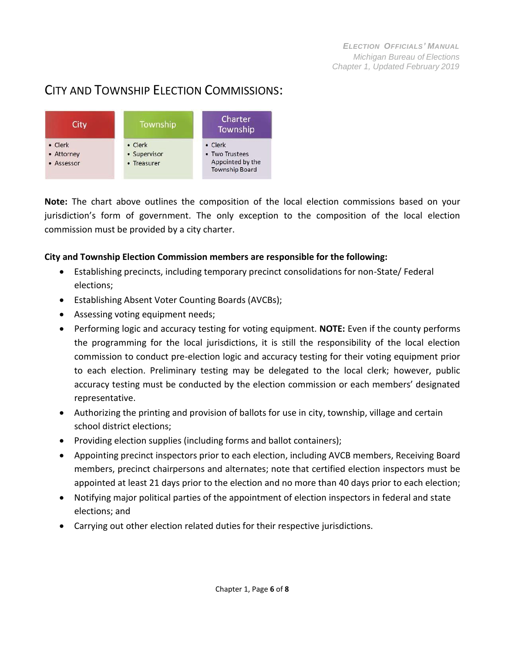### CITY AND TOWNSHIP ELECTION COMMISSIONS:

<span id="page-5-0"></span>

**Note:** The chart above outlines the composition of the local election commissions based on your jurisdiction's form of government. The only exception to the composition of the local election commission must be provided by a city charter.

#### **City and Township Election Commission members are responsible for the following:**

- Establishing precincts, including temporary precinct consolidations for non-State/ Federal elections;
- Establishing Absent Voter Counting Boards (AVCBs);
- Assessing voting equipment needs;
- Performing logic and accuracy testing for voting equipment. **NOTE:** Even if the county performs the programming for the local jurisdictions, it is still the responsibility of the local election commission to conduct pre-election logic and accuracy testing for their voting equipment prior to each election. Preliminary testing may be delegated to the local clerk; however, public accuracy testing must be conducted by the election commission or each members' designated representative.
- Authorizing the printing and provision of ballots for use in city, township, village and certain school district elections;
- Providing election supplies (including forms and ballot containers);
- Appointing precinct inspectors prior to each election, including AVCB members, Receiving Board members, precinct chairpersons and alternates; note that certified election inspectors must be appointed at least 21 days prior to the election and no more than 40 days prior to each election;
- Notifying major political parties of the appointment of election inspectors in federal and state elections; and
- Carrying out other election related duties for their respective jurisdictions.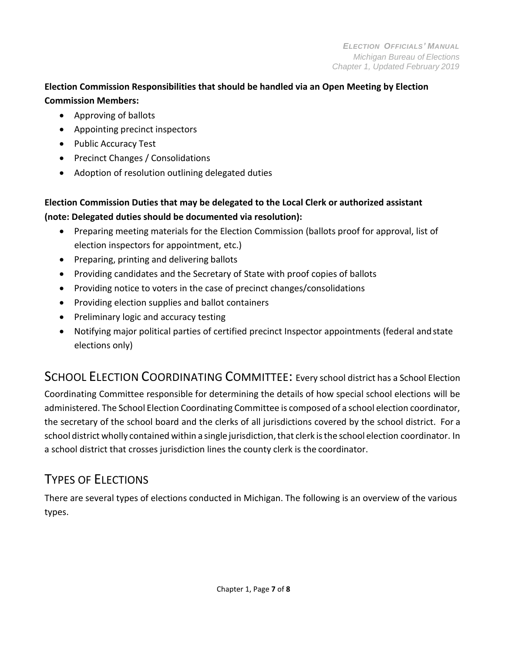#### **Election Commission Responsibilities that should be handled via an Open Meeting by Election Commission Members:**

- Approving of ballots
- Appointing precinct inspectors
- Public Accuracy Test
- Precinct Changes / Consolidations
- Adoption of resolution outlining delegated duties

### **Election Commission Duties that may be delegated to the Local Clerk or authorized assistant (note: Delegated duties should be documented via resolution):**

- Preparing meeting materials for the Election Commission (ballots proof for approval, list of election inspectors for appointment, etc.)
- Preparing, printing and delivering ballots
- Providing candidates and the Secretary of State with proof copies of ballots
- Providing notice to voters in the case of precinct changes/consolidations
- Providing election supplies and ballot containers
- Preliminary logic and accuracy testing
- Notifying major political parties of certified precinct Inspector appointments (federal andstate elections only)

## <span id="page-6-0"></span>SCHOOL ELECTION COORDINATING COMMITTEE: Every school district has a School Election

Coordinating Committee responsible for determining the details of how special school elections will be administered. The School Election Coordinating Committee is composed of a school election coordinator, the secretary of the school board and the clerks of all jurisdictions covered by the school district. For a school district wholly contained within a single jurisdiction, that clerk is the school election coordinator. In a school district that crosses jurisdiction lines the county clerk is the coordinator.

# TYPES OF ELECTIONS

There are several types of elections conducted in Michigan. The following is an overview of the various types.